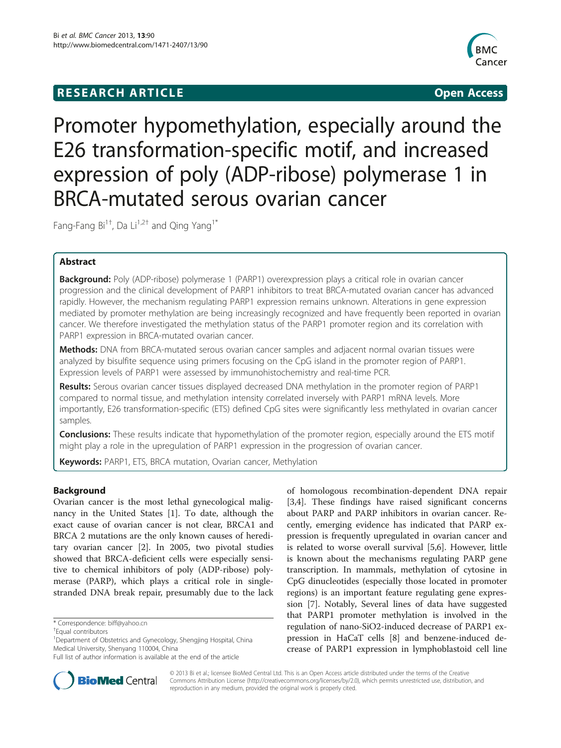# **RESEARCH ARTICLE Example 2014 CONSIDERING CONSIDERING CONSIDERING CONSIDERING CONSIDERING CONSIDERING CONSIDERING CONSIDERING CONSIDERING CONSIDERING CONSIDERING CONSIDERING CONSIDERING CONSIDERING CONSIDERING CONSIDE**



Promoter hypomethylation, especially around the E26 transformation-specific motif, and increased expression of poly (ADP-ribose) polymerase 1 in BRCA-mutated serous ovarian cancer

Fang-Fang Bi<sup>1†</sup>, Da Li<sup>1,2†</sup> and Qing Yang<sup>1\*</sup>

# Abstract

**Background:** Poly (ADP-ribose) polymerase 1 (PARP1) overexpression plays a critical role in ovarian cancer progression and the clinical development of PARP1 inhibitors to treat BRCA-mutated ovarian cancer has advanced rapidly. However, the mechanism regulating PARP1 expression remains unknown. Alterations in gene expression mediated by promoter methylation are being increasingly recognized and have frequently been reported in ovarian cancer. We therefore investigated the methylation status of the PARP1 promoter region and its correlation with PARP1 expression in BRCA-mutated ovarian cancer.

Methods: DNA from BRCA-mutated serous ovarian cancer samples and adjacent normal ovarian tissues were analyzed by bisulfite sequence using primers focusing on the CpG island in the promoter region of PARP1. Expression levels of PARP1 were assessed by immunohistochemistry and real-time PCR.

Results: Serous ovarian cancer tissues displayed decreased DNA methylation in the promoter region of PARP1 compared to normal tissue, and methylation intensity correlated inversely with PARP1 mRNA levels. More importantly, E26 transformation-specific (ETS) defined CpG sites were significantly less methylated in ovarian cancer samples.

Conclusions: These results indicate that hypomethylation of the promoter region, especially around the ETS motif might play a role in the upregulation of PARP1 expression in the progression of ovarian cancer.

Keywords: PARP1, ETS, BRCA mutation, Ovarian cancer, Methylation

# Background

Ovarian cancer is the most lethal gynecological malignancy in the United States [\[1\]](#page-3-0). To date, although the exact cause of ovarian cancer is not clear, BRCA1 and BRCA 2 mutations are the only known causes of hereditary ovarian cancer [[2\]](#page-3-0). In 2005, two pivotal studies showed that BRCA-deficient cells were especially sensitive to chemical inhibitors of poly (ADP-ribose) polymerase (PARP), which plays a critical role in singlestranded DNA break repair, presumably due to the lack



BioMed Central

© 2013 Bi et al.; licensee BioMed Central Ltd. This is an Open Access article distributed under the terms of the Creative Commons Attribution License [\(http://creativecommons.org/licenses/by/2.0\)](http://creativecommons.org/licenses/by/2.0), which permits unrestricted use, distribution, and reproduction in any medium, provided the original work is properly cited.

<sup>\*</sup> Correspondence: [biff@yahoo.cn](mailto:biff@yahoo.cn) †

Equal contributors

<sup>&</sup>lt;sup>1</sup>Department of Obstetrics and Gynecology, Shengjing Hospital, China Medical University, Shenyang 110004, China

Full list of author information is available at the end of the article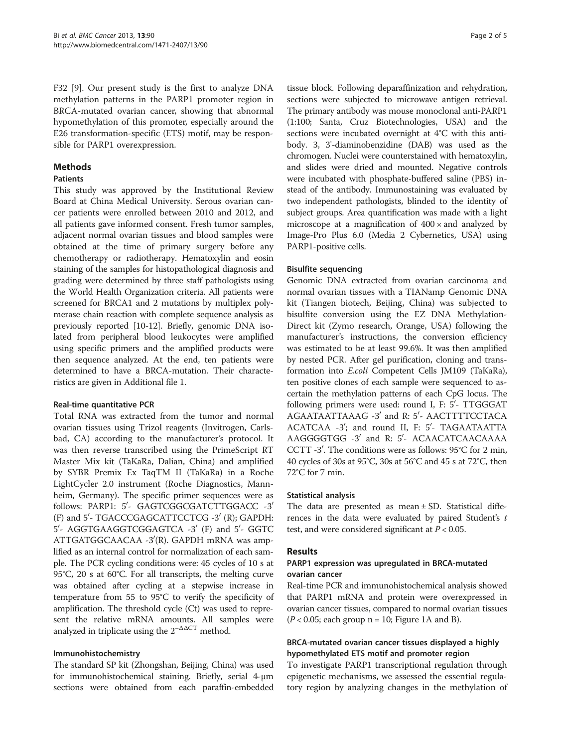F32 [[9\]](#page-4-0). Our present study is the first to analyze DNA methylation patterns in the PARP1 promoter region in BRCA-mutated ovarian cancer, showing that abnormal hypomethylation of this promoter, especially around the E26 transformation-specific (ETS) motif, may be responsible for PARP1 overexpression.

## Methods

## Patients

This study was approved by the Institutional Review Board at China Medical University. Serous ovarian cancer patients were enrolled between 2010 and 2012, and all patients gave informed consent. Fresh tumor samples, adjacent normal ovarian tissues and blood samples were obtained at the time of primary surgery before any chemotherapy or radiotherapy. Hematoxylin and eosin staining of the samples for histopathological diagnosis and grading were determined by three staff pathologists using the World Health Organization criteria. All patients were screened for BRCA1 and 2 mutations by multiplex polymerase chain reaction with complete sequence analysis as previously reported [[10](#page-4-0)-[12](#page-4-0)]. Briefly, genomic DNA isolated from peripheral blood leukocytes were amplified using specific primers and the amplified products were then sequence analyzed. At the end, ten patients were determined to have a BRCA-mutation. Their characteristics are given in Additional file [1.](#page-3-0)

## Real-time quantitative PCR

Total RNA was extracted from the tumor and normal ovarian tissues using Trizol reagents (Invitrogen, Carlsbad, CA) according to the manufacturer's protocol. It was then reverse transcribed using the PrimeScript RT Master Mix kit (TaKaRa, Dalian, China) and amplified by SYBR Premix Ex TaqTM II (TaKaRa) in a Roche LightCycler 2.0 instrument (Roche Diagnostics, Mannheim, Germany). The specific primer sequences were as follows: PARP1: 5'- GAGTCGGCGATCTTGGACC -3' (F) and 5'- TGACCCGAGCATTCCTCG -3' (R); GAPDH: 5'- AGGTGAAGGTCGGAGTCA -3' (F) and 5'- GGTC ATTGATGGCAACAA -3′(R). GAPDH mRNA was amplified as an internal control for normalization of each sample. The PCR cycling conditions were: 45 cycles of 10 s at 95°C, 20 s at 60°C. For all transcripts, the melting curve was obtained after cycling at a stepwise increase in temperature from 55 to 95°C to verify the specificity of amplification. The threshold cycle (Ct) was used to represent the relative mRNA amounts. All samples were analyzed in triplicate using the  $2^{-\Delta\Delta CT}$  method.

## Immunohistochemistry

The standard SP kit (Zhongshan, Beijing, China) was used for immunohistochemical staining. Briefly, serial 4-μm sections were obtained from each paraffin-embedded

tissue block. Following deparaffinization and rehydration, sections were subjected to microwave antigen retrieval. The primary antibody was mouse monoclonal anti-PARP1 (1:100; Santa, Cruz Biotechnologies, USA) and the sections were incubated overnight at 4°C with this antibody. 3, 3'-diaminobenzidine (DAB) was used as the chromogen. Nuclei were counterstained with hematoxylin, and slides were dried and mounted. Negative controls were incubated with phosphate-buffered saline (PBS) instead of the antibody. Immunostaining was evaluated by two independent pathologists, blinded to the identity of subject groups. Area quantification was made with a light microscope at a magnification of  $400 \times$  and analyzed by Image-Pro Plus 6.0 (Media 2 Cybernetics, USA) using PARP1-positive cells.

### Bisulfite sequencing

Genomic DNA extracted from ovarian carcinoma and normal ovarian tissues with a TIANamp Genomic DNA kit (Tiangen biotech, Beijing, China) was subjected to bisulfite conversion using the EZ DNA Methylation-Direct kit (Zymo research, Orange, USA) following the manufacturer's instructions, the conversion efficiency was estimated to be at least 99.6%. It was then amplified by nested PCR. After gel purification, cloning and transformation into E.coli Competent Cells JM109 (TaKaRa), ten positive clones of each sample were sequenced to ascertain the methylation patterns of each CpG locus. The following primers were used: round I, F:  $5'$ - TTGGGAT AGAATAATTAAAG -3' and R: 5'- AACTTTTCCTACA  $ACATCAA$  -3'; and round II, F: 5'- TAGAATAATTA AAGGGGTGG -3' and R: 5'- ACAACATCAACAAAA CCTT  $-3'$ . The conditions were as follows: 95°C for 2 min, 40 cycles of 30s at 95°C, 30s at 56°C and 45 s at 72°C, then 72°C for 7 min.

#### Statistical analysis

The data are presented as mean  $\pm$  SD. Statistical differences in the data were evaluated by paired Student's  $t$ test, and were considered significant at  $P < 0.05$ .

## Results

## PARP1 expression was upregulated in BRCA-mutated ovarian cancer

Real-time PCR and immunohistochemical analysis showed that PARP1 mRNA and protein were overexpressed in ovarian cancer tissues, compared to normal ovarian tissues  $(P < 0.05$ ; each group n = [1](#page-2-0)0; Figure 1A and B).

# BRCA-mutated ovarian cancer tissues displayed a highly hypomethylated ETS motif and promoter region

To investigate PARP1 transcriptional regulation through epigenetic mechanisms, we assessed the essential regulatory region by analyzing changes in the methylation of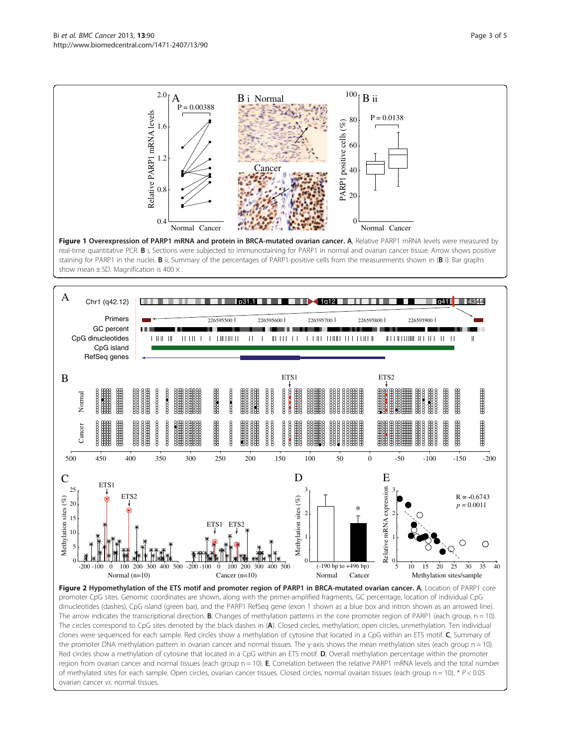<span id="page-2-0"></span>

Figure 1 Overexpression of PARP1 mRNA and protein in BRCA-mutated ovarian cancer. A, Relative PARP1 mRNA levels were measured by real-time quantitative PCR. B i, Sections were subjected to immunostaining for PARP1 in normal and ovarian cancer tissue. Arrow shows positive staining for PARP1 in the nuclei. **B** ii, Summary of the percentages of PARP1-positive cells from the measurements shown in (B i). Bar graphs show mean  $\pm$  SD. Magnification is 400  $\times$ .



Figure 2 Hypomethylation of the ETS motif and promoter region of PARP1 in BRCA-mutated ovarian cancer. A, Location of PARP1 core promoter CpG sites. Genomic coordinates are shown, along with the primer-amplified fragments, GC percentage, location of individual CpG dinucleotides (dashes), CpG island (green bar), and the PARP1 RefSeq gene (exon 1 shown as a blue box and intron shown as an arrowed line). The arrow indicates the transcriptional direction. **B**, Changes of methylation patterns in the core promoter region of PARP1 (each group,  $n = 10$ ). The circles correspond to CpG sites denoted by the black dashes in (A). Closed circles, methylation; open circles, unmethylation. Ten individual clones were sequenced for each sample. Red circles show a methylation of cytosine that located in a CpG within an ETS motif. C, Summary of the promoter DNA methylation pattern in ovarian cancer and normal tissues. The y-axis shows the mean methylation sites (each group n = 10). Red circles show a methylation of cytosine that located in a CpG within an ETS motif. D, Overall methylation percentage within the promoter region from ovarian cancer and normal tissues (each group  $n = 10$ ). E, Correlation between the relative PARP1 mRNA levels and the total number of methylated sites for each sample. Open circles, ovarian cancer tissues. Closed circles, normal ovarian tissues (each group n = 10). \* P < 0.05 ovarian cancer vs. normal tissues.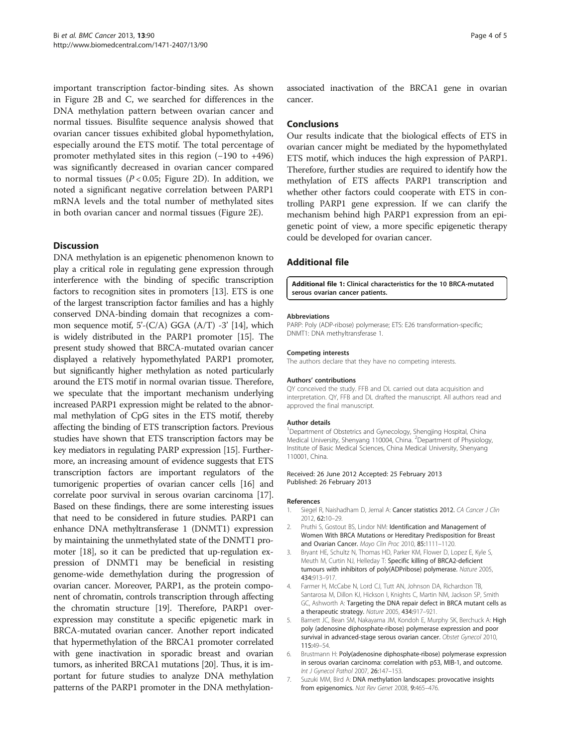<span id="page-3-0"></span>important transcription factor-binding sites. As shown in Figure [2B](#page-2-0) and C, we searched for differences in the DNA methylation pattern between ovarian cancer and normal tissues. Bisulfite sequence analysis showed that ovarian cancer tissues exhibited global hypomethylation, especially around the ETS motif. The total percentage of promoter methylated sites in this region (−190 to +496) was significantly decreased in ovarian cancer compared to normal tissues ( $P < 0.05$ ; Figure [2D](#page-2-0)). In addition, we noted a significant negative correlation between PARP1 mRNA levels and the total number of methylated sites in both ovarian cancer and normal tissues (Figure [2E](#page-2-0)).

### **Discussion**

DNA methylation is an epigenetic phenomenon known to play a critical role in regulating gene expression through interference with the binding of specific transcription factors to recognition sites in promoters [[13](#page-4-0)]. ETS is one of the largest transcription factor families and has a highly conserved DNA-binding domain that recognizes a common sequence motif,  $5'(C/A)$  GGA  $(A/T)$  -3' [[14](#page-4-0)], which is widely distributed in the PARP1 promoter [\[15](#page-4-0)]. The present study showed that BRCA-mutated ovarian cancer displayed a relatively hypomethylated PARP1 promoter, but significantly higher methylation as noted particularly around the ETS motif in normal ovarian tissue. Therefore, we speculate that the important mechanism underlying increased PARP1 expression might be related to the abnormal methylation of CpG sites in the ETS motif, thereby affecting the binding of ETS transcription factors. Previous studies have shown that ETS transcription factors may be key mediators in regulating PARP expression [\[15\]](#page-4-0). Furthermore, an increasing amount of evidence suggests that ETS transcription factors are important regulators of the tumorigenic properties of ovarian cancer cells [\[16\]](#page-4-0) and correlate poor survival in serous ovarian carcinoma [\[17](#page-4-0)]. Based on these findings, there are some interesting issues that need to be considered in future studies. PARP1 can enhance DNA methyltransferase 1 (DNMT1) expression by maintaining the unmethylated state of the DNMT1 promoter [[18](#page-4-0)], so it can be predicted that up-regulation expression of DNMT1 may be beneficial in resisting genome-wide demethylation during the progression of ovarian cancer. Moreover, PARP1, as the protein component of chromatin, controls transcription through affecting the chromatin structure [[19](#page-4-0)]. Therefore, PARP1 overexpression may constitute a specific epigenetic mark in BRCA-mutated ovarian cancer. Another report indicated that hypermethylation of the BRCA1 promoter correlated with gene inactivation in sporadic breast and ovarian tumors, as inherited BRCA1 mutations [\[20\]](#page-4-0). Thus, it is important for future studies to analyze DNA methylation patterns of the PARP1 promoter in the DNA methylationassociated inactivation of the BRCA1 gene in ovarian cancer.

#### Conclusions

Our results indicate that the biological effects of ETS in ovarian cancer might be mediated by the hypomethylated ETS motif, which induces the high expression of PARP1. Therefore, further studies are required to identify how the methylation of ETS affects PARP1 transcription and whether other factors could cooperate with ETS in controlling PARP1 gene expression. If we can clarify the mechanism behind high PARP1 expression from an epigenetic point of view, a more specific epigenetic therapy could be developed for ovarian cancer.

## Additional file

[Additional file 1:](http://www.biomedcentral.com/content/supplementary/1471-2407-13-90-S1.doc) Clinical characteristics for the 10 BRCA-mutated serous ovarian cancer patients.

#### Abbreviations

PARP: Poly (ADP-ribose) polymerase; ETS: E26 transformation-specific; DNMT1: DNA methyltransferase 1.

#### Competing interests

The authors declare that they have no competing interests.

#### Authors' contributions

QY conceived the study. FFB and DL carried out data acquisition and interpretation. QY, FFB and DL drafted the manuscript. All authors read and approved the final manuscript.

#### Author details

<sup>1</sup>Department of Obstetrics and Gynecology, Shengjing Hospital, China Medical University, Shenyang 110004, China. <sup>2</sup>Department of Physiology Institute of Basic Medical Sciences, China Medical University, Shenyang 110001, China.

#### Received: 26 June 2012 Accepted: 25 February 2013 Published: 26 February 2013

#### References

- 1. Siegel R, Naishadham D, Jemal A: Cancer statistics 2012. CA Cancer J Clin 2012, 62:10–29.
- 2. Pruthi S, Gostout BS, Lindor NM: Identification and Management of Women With BRCA Mutations or Hereditary Predisposition for Breast and Ovarian Cancer. Mayo Clin Proc 2010, 85:1111–1120.
- Bryant HE, Schultz N, Thomas HD, Parker KM, Flower D, Lopez E, Kyle S, Meuth M, Curtin NJ, Helleday T: Specific killing of BRCA2-deficient tumours with inhibitors of poly(ADPribose) polymerase. Nature 2005, 434:913–917.
- 4. Farmer H, McCabe N, Lord CJ, Tutt AN, Johnson DA, Richardson TB, Santarosa M, Dillon KJ, Hickson I, Knights C, Martin NM, Jackson SP, Smith GC, Ashworth A: Targeting the DNA repair defect in BRCA mutant cells as a therapeutic strategy. Nature 2005, 434:917–921.
- Barnett JC, Bean SM, Nakayama JM, Kondoh E, Murphy SK, Berchuck A: High poly (adenosine diphosphate-ribose) polymerase expression and poor survival in advanced-stage serous ovarian cancer. Obstet Gynecol 2010, 115:49–54.
- 6. Brustmann H: Poly(adenosine diphosphate-ribose) polymerase expression in serous ovarian carcinoma: correlation with p53, MIB-1, and outcome. Int J Gynecol Pathol 2007, 26:147–153.
- 7. Suzuki MM, Bird A: DNA methylation landscapes: provocative insights from epigenomics. Nat Rev Genet 2008, 9:465–476.